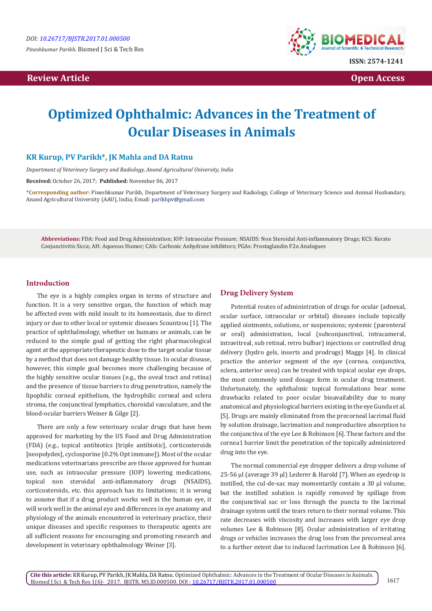**Review Article Open Access** 



# **Optimized Ophthalmic: Advances in the Treatment of Ocular Diseases in Animals**

# **KR Kurup, PV Parikh\*, JK Mahla and DA Ratnu**

*Department of Veterinary Surgery and Radiology, Anand Agricultural University, India*

**Received:** October 26, 2017; **Published:** November 06, 2017

**\*Corresponding author:** Pineshkumar Parikh, Department of Veterinary Surgery and Radiology, College of Veterinary Science and Animal Husbandary, Anand Agricultural University (AAU), India; Email: parikhpv@gmail.com

**Abbreviations:** FDA: Food and Drug Administration; IOP: Intraocular Pressure; NSAIDS: Non Steroidal Anti-inflammatory Drugs; KCS: Kerato Conjunctivitis Sicca; AH: Aqueous Humor; CAIs: Carbonic Anhydrase inhibitors; PGAs: Prostaglandin F2α Analogues

## **Introduction**

The eye is a highly complex organ in terms of structure and function. It is a very sensitive organ, the function of which may be affected even with mild insult to its homeostasis, due to direct injury or due to other local or systemic diseases Scountzou [1]. The practice of ophthalmology, whether on humans or animals, can be reduced to the simple goal of getting the right pharmacological agent at the appropriate therapeutic dose to the target ocular tissue by a method that does not damage healthy tissue. In ocular disease, however, this simple goal becomes more challenging because of the highly sensitive ocular tissues (e.g., the uveal tract and retina) and the presence of tissue barriers to drug penetration, namely the lipophilic corneal epithelium, the hydrophilic corneal and sclera stroma, the conjunctival lymphatics, choroidal vasculature, and the blood-ocular barriers Weiner & Gilge [2].

There are only a few veterinary ocular drugs that have been approved for marketing by the US Food and Drug Administration (FDA) (e.g., topical antibiotics [triple antibiotic], corticosteroids [neopolydex], cyclosporine [0.2% Opt immune]). Most of the ocular medications veterinarians prescribe are those approved for human use, such as intraocular pressure (IOP) lowering medications, topical non steroidal anti-inflammatory drugs (NSAIDS), corticosteroids, etc. this approach has its limitations; it is wrong to assume that if a drug product works well in the human eye, it will work well in the animal eye and differences in eye anatomy and physiology of the animals encountered in veterinary practice, their unique diseases and specific responses to therapeutic agents are all sufficient reasons for encouraging and promoting research and development in veterinary ophthalmology Weiner [3].

#### **Drug Delivery System**

Potential routes of administration of drugs for ocular (adnexal, ocular surface, intraocular or orbital) diseases include topically applied ointments, solutions, or suspensions; systemic (parenteral or oral) administration, local (subconjunctival, intracameral, intravitreal, sub retinal, retro bulbar) injections or controlled drug delivery (hydro gels, inserts and prodrugs) Maggs [4]. In clinical practice the anterior segment of the eye (cornea, conjunctiva, sclera, anterior uvea) can be treated with topical ocular eye drops, the most commonly used dosage form in ocular drug treatment. Unfortunately, the ophthalmic topical formulations bear some drawbacks related to poor ocular bioavailability due to many anatomical and physiological barriers existing in the eye Gunda et al. [5]. Drugs are mainly eliminated from the precorneal lacrimal fluid by solution drainage, lacrimation and nonproductive absorption to the conjunctiva of the eye Lee & Robinson [6]. These factors and the cornea1 barrier limit the penetration of the topically administered drug into the eye.

The normal commercial eye dropper delivers a drop volume of 25-56 µl (average 39 µl) Lederer & Harold [7]. When an eyedrop is instilled, the cul-de-sac may momentarily contain a 30 µl volume, but the instilled solution is rapidly removed by spillage from the conjunctival sac or loss through the puncta to the lacrimal drainage system until the tears return to their normal volume. This rate decreases with viscosity and increases with larger eye drop volumes Lee & Robinson [8]. Ocular administration of irritating drugs or vehicles increases the drug loss from the precorneal area to a further extent due to induced lacrimation Lee & Robinson [6].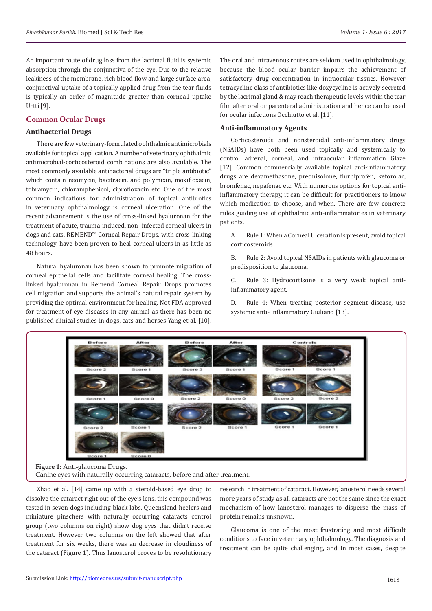An important route of drug loss from the lacrimal fluid is systemic absorption through the conjunctiva of the eye. Due to the relative leakiness of the membrane, rich blood flow and large surface area, conjunctival uptake of a topically applied drug from the tear fluids is typically an order of magnitude greater than cornea1 uptake Urtti [9].

# **Common Ocular Drugs**

## **Antibacterial Drugs**

There are few veterinary-formulated ophthalmic antimicrobials available for topical application. A number of veterinary ophthalmic antimicrobial-corticosteroid combinations are also available. The most commonly available antibacterial drugs are "triple antibiotic" which contain neomycin, bacitracin, and polymixin, moxifloxacin, tobramycin, chloramphenicol, ciprofloxacin etc. One of the most common indications for administration of topical antibiotics in veterinary ophthalmology is corneal ulceration. One of the recent advancement is the use of cross-linked hyaluronan for the treatment of acute, trauma-induced, non- infected corneal ulcers in dogs and cats. REMEND™ Corneal Repair Drops, with cross-linking technology, have been proven to heal corneal ulcers in as little as 48 hours.

Natural hyaluronan has been shown to promote migration of corneal epithelial cells and facilitate corneal healing. The crosslinked hyaluronan in Remend Corneal Repair Drops promotes cell migration and supports the animal's natural repair system by providing the optimal environment for healing. Not FDA approved for treatment of eye diseases in any animal as there has been no published clinical studies in dogs, cats and horses Yang et al. [10].

The oral and intravenous routes are seldom used in ophthalmology, because the blood ocular barrier impairs the achievement of satisfactory drug concentration in intraocular tissues. However tetracycline class of antibiotics like doxycycline is actively secreted by the lacrimal gland & may reach therapeutic levels within the tear film after oral or parenteral administration and hence can be used for ocular infections Occhiutto et al. [11].

## **Anti-inflammatory Agents**

Corticosteroids and nonsteroidal anti-inflammatory drugs (NSAIDs) have both been used topically and systemically to control adrenal, corneal, and intraocular inflammation Glaze [12]. Common commercially available topical anti-inflammatory drugs are dexamethasone, prednisolone, flurbiprofen, ketorolac, bromfenac, nepafenac etc. With numerous options for topical antiinflammatory therapy, it can be difficult for practitioners to know which medication to choose, and when. There are few concrete rules guiding use of ophthalmic anti-inflammatories in veterinary patients.

A. Rule 1: When a Corneal Ulceration is present, avoid topical corticosteroids.

B. Rule 2: Avoid topical NSAIDs in patients with glaucoma or predisposition to glaucoma.

C. Rule 3: Hydrocortisone is a very weak topical antiinflammatory agent.

D. Rule 4: When treating posterior segment disease, use systemic anti- inflammatory Giuliano [13].



Canine eyes with naturally occurring cataracts, before and after treatment.

Zhao et al. [14] came up with a steroid-based eye drop to dissolve the cataract right out of the eye's lens. this compound was tested in seven dogs including black labs, Queensland heelers and miniature pinschers with naturally occurring cataracts control group (two columns on right) show dog eyes that didn't receive treatment. However two columns on the left showed that after treatment for six weeks, there was an decrease in cloudiness of the cataract (Figure 1). Thus lanosterol proves to be revolutionary

research in treatment of cataract. However, lanosterol needs several more years of study as all cataracts are not the same since the exact mechanism of how lanosterol manages to disperse the mass of protein remains unknown.

Glaucoma is one of the most frustrating and most difficult conditions to face in veterinary ophthalmology. The diagnosis and treatment can be quite challenging, and in most cases, despite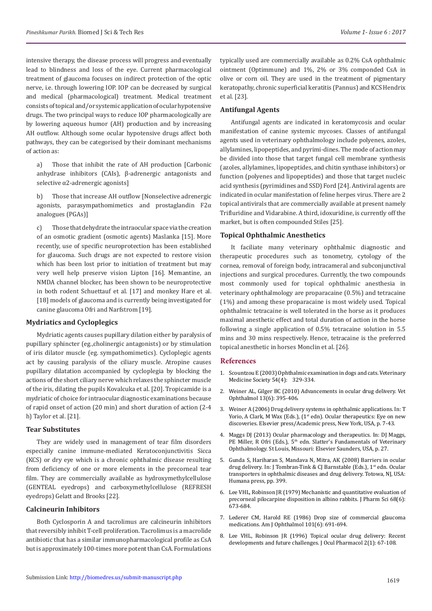intensive therapy, the disease process will progress and eventually lead to blindness and loss of the eye. Current pharmacological treatment of glaucoma focuses on indirect protection of the optic nerve, i.e. through lowering IOP. IOP can be decreased by surgical and medical (pharmacological) treatment. Medical treatment consists of topical and/or systemic application of ocular hypotensive drugs. The two principal ways to reduce IOP pharmacologically are by lowering aqueous humor (AH) production and by increasing AH outflow. Although some ocular hypotensive drugs affect both pathways, they can be categorised by their dominant mechanisms of action as:

a) Those that inhibit the rate of AH production [Carbonic anhydrase inhibitors (CAIs), β-adrenergic antagonists and selective α2-adrenergic agonists]

b) Those that increase AH outflow [Nonselective adrenergic agonists, parasympathomimetics and prostaglandin F2α analogues (PGAs)]

c) Those that dehydrate the intraocular space via the creation of an osmotic gradient (osmotic agents) Maslanka [15]. More recently, use of specific neuroprotection has been established for glaucoma. Such drugs are not expected to restore vision which has been lost prior to initiation of treatment but may very well help preserve vision Lipton [16]. Memantine, an NMDA channel blocker, has been shown to be neuroprotective in both rodent Schuettauf et al. [17] and monkey Hare et al. [18] models of glaucoma and is currently being investigated for canine glaucoma Ofri and Narfstrom [19].

## **Mydriatics and Cycloplegics**

Mydriatic agents causes pupillary dilation either by paralysis of pupillary sphincter (eg.,cholinergic antagonists) or by stimulation of iris dilator muscle (eg. sympathomimetics). Cycloplegic agents act by causing paralysis of the ciliary muscle. Atropine causes pupillary dilatation accompanied by cycloplegia by blocking the actions of the short ciliary nerve which relaxes the sphincter muscle of the iris, dilating the pupils Kovalcuka et al. [20]. Tropicamide is a mydriatic of choice for intraocular diagnostic examinations because of rapid onset of action (20 min) and short duration of action (2-4 h) Taylor et al. [21].

#### **Tear Substitutes**

They are widely used in management of tear film disorders especially canine immune-mediated Keratoconjunctivitis Sicca (KCS) or dry eye which is a chronic ophthalmic disease resulting from deficiency of one or more elements in the precorneal tear film. They are commercially available as hydroxymethylcellulose (GENTEAL eyedrops) and carboxymethylcellulose (REFRESH eyedrops) Gelatt and Brooks [22].

# **Calcineurin Inhibitors**

Both Cyclosporin A and tacrolimus are calcineurin inhibitors that reversibly inhibit T-cell proliferation. Tacrolimus is a macrolide antibiotic that has a similar immunopharmacological profile as CsA but is approximately 100-times more potent than CsA. Formulations

typically used are commercially available as 0.2% CsA ophthalmic ointment (Optimmune) and 1%, 2% or 3% componded CsA in olive or corn oil. They are used in the treatment of pigmentary keratopathy, chronic superficial keratitis (Pannus) and KCS Hendrix et al. [23].

# **Antifungal Agents**

Antifungal agents are indicated in keratomycosis and ocular manifestation of canine systemic mycoses. Classes of antifungal agents used in veterinary ophthalmology include polyenes, azoles, allylamines, lipopeptides, and pyrimi-dines. The mode of action may be divided into those that target fungal cell membrane synthesis (azoles, allylamines, lipopeptides, and chitin synthase inhibitors) or function (polyenes and lipopeptides) and those that target nucleic acid synthesis (pyrimidines and SSD) Ford [24]. Antiviral agents are indicated in ocular manifestation of feline herpes virus. There are 2 topical antivirals that are commercially available at present namely Trifluridine and Vidarabine. A third, idoxuridine, is currently off the market, but is often compounded Stiles [25].

#### **Topical Ophthalmic Anesthetics**

It faciliate many veterinary ophthalmic diagnostic and therapeutic procedures such as tonometry, cytology of the cornea, removal of foreign body, intracameral and subconjunctival injections and surgical procedures. Currently, the two compounds most commonly used for topical ophthalmic anesthesia in veterinary ophthalmology are proparacaine (0.5%) and tetracaine (1%) and among these proparacaine is most widely used. Topical ophthalmic tetracaine is well tolerated in the horse as it produces maximal anesthetic effect and total duration of action in the horse following a single application of 0.5% tetracaine solution in 5.5 mins and 30 mins respectively. Hence, tetracaine is the preferred topical anesthetic in horses Monclin et al. [26].

### **References**

- 1. Scountzou E (2003) Ophthalmic examination in dogs and cats. Veterinary Medicine Society 54(4): 329-334.
- 2. [Weiner AL, Gilger BC \(2010\) Advancements in ocular drug delivery. Vet](https://www.ncbi.nlm.nih.gov/pubmed/21182726) [Ophthalmol 13\(6\): 395-406.](https://www.ncbi.nlm.nih.gov/pubmed/21182726)
- 3. Weiner A (2006) Drug delivery systems in ophthalmic applications. In: T Yorio, A Clark, M Wax (Eds.), (1<sup>st</sup> edn). Ocular therapeutics: Eye on new discoveries. Elsevier press/Academic press, New York, USA, p. 7-43.
- 4. Maggs DJ (2013) Ocular pharmacology and therapeutics. In: DJ Maggs, PE Miller, R Ofri (Eds.), 5<sup>th</sup> edn. Slatter's Fundamentals of Veterinary Ophthalmology. St Louis, Missouri: Elsevier Saunders, USA, p. 27.
- 5. Gunda S, Hariharan S, Mandava N, Mitra, AK (2008) Barriers in ocular drug delivery. In: J Tombran-Tink & CJ Barnstable (Eds.), 1st edn. Ocular transporters in ophthalmic diseases and drug delivery. Totowa, NJ, USA: Humana press, pp. 399.
- 6. [Lee VHL, Robinson JR \(1979\) Mechanistic and quantitative evaluation of](http://www.jpharmsci.org/article/S0022-3549(15)42675-9/fulltext) [precorneal pilocarpine disposition in albino rabbits. J Pharm Sci 68\(6\):](http://www.jpharmsci.org/article/S0022-3549(15)42675-9/fulltext) [673-684.](http://www.jpharmsci.org/article/S0022-3549(15)42675-9/fulltext)
- 7. [Lederer CM, Harold RE \(1986\) Drop size of commercial glaucoma](https://www.ncbi.nlm.nih.gov/pubmed/3717253) [medications. Am J Ophthalmol 101\(6\): 691-694.](https://www.ncbi.nlm.nih.gov/pubmed/3717253)
- 8. [Lee VHL, Robinson JR \(1996\) Topical ocular drug delivery: Recent](https://www.ncbi.nlm.nih.gov/pubmed/3332284) [developments and future challenges. J Ocul Pharmacol 2\(1\): 67-108.](https://www.ncbi.nlm.nih.gov/pubmed/3332284)